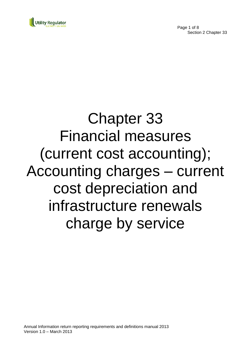



# Chapter 33 Financial measures (current cost accounting); Accounting charges – current cost depreciation and infrastructure renewals charge by service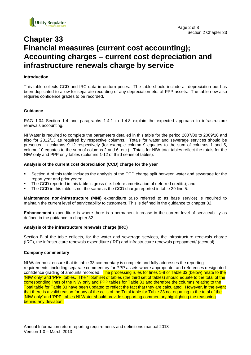

## **Chapter 33 Financial measures (current cost accounting); Accounting charges – current cost depreciation and infrastructure renewals charge by service**

#### **Introduction**

This table collects CCD and IRC data in outturn prices. The table should include all depreciation but has been duplicated to allow for separate recording of any depreciation etc. of PPP assets. The table now also requires confidence grades to be recorded.

#### **Guidance**

RAG 1.04 Section 1.4 and paragraphs 1.4.1 to 1.4.8 explain the expected approach to infrastructure renewals accounting.

NI Water is required to complete the parameters detailed in this table for the period 2007/08 to 2009/10 and also for 2012/13 as required by respective columns. Totals for water and sewerage services should be presented in columns 9-12 respectively (for example column 9 equates to the sum of columns 1 and 5, column 10 equates to the sum of columns 2 and 6, etc.). Totals for NIW total tables reflect the totals for the NIW only and PPP only tables (columns 1-12 of third series of tables).

#### **Analysis of the current cost depreciation (CCD) charge for the year**

- Section A of this table includes the analysis of the CCD charge split between water and sewerage for the report year and prior years;
- The CCD reported in this table is gross (i.e. before amortisation of deferred credits); and,
- The CCD in this table is not the same as the CCD charge reported in table 29 line 5.

**Maintenance non-infrastructure (MNI)** expenditure (also referred to as base service) is required to maintain the current level of serviceability to customers. This is defined in the guidance to chapter 32.

**Enhancement** expenditure is where there is a permanent increase in the current level of serviceability as defined in the guidance to chapter 32.

#### **Analysis of the infrastructure renewals charge (IRC)**

Section B of the table collects, for the water and sewerage services, the infrastructure renewals charge (IRC), the infrastructure renewals expenditure (IRE) and infrastructure renewals prepayment/ (accrual).

#### **Company commentary**

NI Water must ensure that its table 33 commentary is complete and fully addresses the reporting requirements, including separate commentary for PPP assets where appropriate, and references designated confidence grading of amounts recorded. The processing rules for lines 1-8 of Table 33 (below) relate to the 'NIW only' and 'PPP' tables. The 'Total' set of tables (the third set of tables) should equate to the total of the corresponding lines of the NIW only and PPP tables for Table 33 and therefore the columns relating to the Total table for Table 33 have been updated to reflect the fact that they are calculated. However, in the event that there is a valid reason for any of the cells of the Total table for Table 33 not equating to the total of the 'NIW only' and 'PPP' tables NI Water should provide supporting commentary highlighting the reasoning behind any deviation.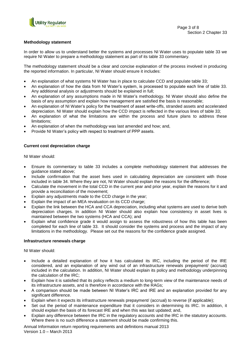

#### **Methodology statement**

In order to allow us to understand better the systems and processes NI Water uses to populate table 33 we require NI Water to prepare a methodology statement as part of its table 33 commentary.

The methodology statement should be a clear and concise explanation of the process involved in producing the reported information. In particular, NI Water should ensure it includes:

- An explanation of what systems NI Water has in place to calculate CCD and populate table 33;
- An explanation of how the data from NI Water's system, is processed to populate each line of table 33. Any additional analysis or adjustments should be explained in full;
- An explanation of any assumptions made in NI Water's methodology. NI Water should also define the basis of any assumption and explain how management are satisfied the basis is reasonable;
- An explanation of NI Water's policy for the treatment of asset write-offs, stranded assets and accelerated depreciation. NI Water should explain how the CCD impact is reflected in the various lines of table 33;
- An explanation of what the limitations are within the process and future plans to address these limitations;
- An explanation of when the methodology was last amended and how; and,
- Provide NI Water's policy with respect to treatment of PPP assets.

#### **Current cost depreciation charge**

NI Water should:

- Ensure its commentary to table 33 includes a complete methodology statement that addresses the guidance stated above;
- Include confirmation that the asset lives used in calculating depreciation are consistent with those included in table 34. Where they are not, NI Water should explain the reasons for the difference;
- Calculate the movement in the total CCD in the current year and prior year, explain the reasons for it and provide a reconciliation of the movement;
- Explain any adjustments made to the CCD charge in the year;
- Explain the impact of an MEA revaluation on its CCD charge;
- Explain the link between the HCA and CCA depreciation, including what systems are used to derive both depreciation charges. In addition NI Water should also explain how consistency in asset lives is maintained between the two systems (HCA and CCA); and
- Explain what confidence grade it would assign to assess the robustness of how this table has been completed for each line of table 33. It should consider the systems and process and the impact of any limitations in the methodology. Please set out the reasons for the confidence grade assigned.

#### **Infrastructure renewals charge**

NI Water should:

- Include a detailed explanation of how it has calculated its IRC, including the period of the IRE considered, and an explanation of any wind out of an infrastructure renewals prepayment/ (accrual) included in the calculation. In addition, NI Water should explain its policy and methodology underpinning the calculation of the IRC;
- Explain how it is satisfied that its policy reflects a medium to long-term view of the maintenance needs of its infrastructure assets, and is therefore in accordance with the RAGs;
- A comparison should be made between NI Water's IRC and IRE and an explanation provided for any significant difference.
- Explain when it expects its infrastructure renewals prepayment/ (accrual) to reverse (if applicable);
- Set out the period of maintenance expenditure that it considers in determining its IRC. In addition, it should explain the basis of its forecast IRE and when this was last updated; and,
- Explain any difference between the IRC in the regulatory accounts and the IRC in the statutory accounts. Where there is no such difference a statement should be made confirming this.

Annual Information return reporting requirements and definitions manual 2013 Version 1.0 – March 2013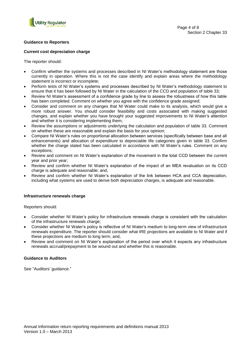

#### **Guidance to Reporters**

#### **Current cost depreciation charge**

The reporter should:

- Confirm whether the systems and processes described in NI Water's methodology statement are those currently in operation. Where this is not the case identify and explain areas where the methodology statement is incorrect or incomplete;
- Perform tests of NI Water's systems and processes described by NI Water's methodology statement to ensure that it has been followed by NI Water in the calculation of the CCD and population of table 33;
- Review NI Water's assessment of a confidence grade by line to assess the robustness of how this table has been completed. Comment on whether you agree with the confidence grade assigned;
- Consider and comment on any changes that NI Water could make to its analysis, which would give a more robust answer. You should consider feasibility and costs associated with making suggested changes, and explain whether you have brought your suggested improvements to NI Water's attention and whether it is considering implementing them;
- Review the assumptions or adjustments underlying the calculation and population of table 33. Comment on whether these are reasonable and explain the basis for your opinion;
- Compare NI Water's rules on proportional allocation between services (specifically between base and all enhancements) and allocation of expenditure to depreciable life categories given in table 33. Confirm whether the charge stated has been calculated in accordance with NI Water's rules. Comment on any exceptions;
- Review and comment on NI Water's explanation of the movement in the total CCD between the current year and prior year;
- Review and confirm whether NI Water's explanation of the impact of an MEA revaluation on its CCD charge is adequate and reasonable; and,
- Review and confirm whether NI Water's explanation of the link between HCA and CCA depreciation, including what systems are used to derive both depreciation charges, is adequate and reasonable.

#### **Infrastructure renewals charge**

Reporters should:

- Consider whether NI Water's policy for infrastructure renewals charge is consistent with the calculation of the infrastructure renewals charge;
- Consider whether NI Water's policy is reflective of NI Water's medium to long-term view of infrastructure renewals expenditure. The reporter should consider what IRE projections are available to NI Water and if these projections are medium to long term; and,
- Review and comment on NI Water's explanation of the period over which it expects any infrastructure renewals accrual/prepayment to be wound out and whether this is reasonable.

#### **Guidance to Auditors**

See "Auditors' guidance."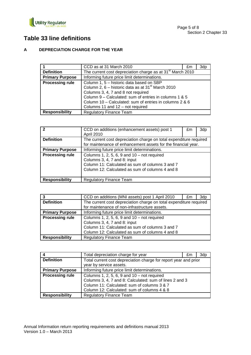

## **Table 33 line definitions**

### **A DEPRECIATION CHARGE FOR THE YEAR**

|                        | CCD as at 31 March 2010                                                | £m | 3dp |
|------------------------|------------------------------------------------------------------------|----|-----|
| <b>Definition</b>      | The current cost depreciation charge as at 31 <sup>st</sup> March 2010 |    |     |
| <b>Primary Purpose</b> | Informing future price limit determinations.                           |    |     |
| <b>Processing rule</b> | Column 1, 5 - historic data based on SBP                               |    |     |
|                        | Column 2, 6 – historic data as at 31 <sup>st</sup> March 2010          |    |     |
|                        | Columns 3, 4, 7 and 8 not required                                     |    |     |
|                        | Column 9 – Calculated: sum of entries in columns 1 & 5                 |    |     |
|                        | Column 10 – Calculated: sum of entries in columns 2 & 6                |    |     |
|                        | Columns 11 and 12 - not required                                       |    |     |
| <b>Responsibility</b>  | <b>Regulatory Finance Team</b>                                         |    |     |

| $\mathbf{z}$           | CCD on additions (enhancement assets) post 1<br>April 2010                                                                                                                          | £m | 3dp |
|------------------------|-------------------------------------------------------------------------------------------------------------------------------------------------------------------------------------|----|-----|
| <b>Definition</b>      | The current cost depreciation charge on total expenditure required<br>for maintenance of enhancement assets for the financial year.                                                 |    |     |
| <b>Primary Purpose</b> | Informing future price limit determinations.                                                                                                                                        |    |     |
| <b>Processing rule</b> | Columns 1, 2, 5, 6, 9 and $10 - not required$<br>Columns 3, 4, 7 and 8: input<br>Column 11: Calculated as sum of columns 3 and 7<br>Column 12: Calculated as sum of columns 4 and 8 |    |     |
| <b>Responsibility</b>  | <b>Regulatory Finance Team</b>                                                                                                                                                      |    |     |

|                        | CCD on additions (MNI assets) post 1 April 2010                    | £m | 3dp |
|------------------------|--------------------------------------------------------------------|----|-----|
| <b>Definition</b>      | The current cost depreciation charge on total expenditure required |    |     |
|                        | for maintenance of non-infrastructure assets.                      |    |     |
| <b>Primary Purpose</b> | Informing future price limit determinations.                       |    |     |
| <b>Processing rule</b> | Columns 1, 2, 5, 6, 9 and $10 - not required$                      |    |     |
|                        | Columns 3, 4, 7 and 8: input                                       |    |     |
|                        | Column 11: Calculated as sum of columns 3 and 7                    |    |     |
|                        | Column 12: Calculated as sum of columns 4 and 8                    |    |     |
| <b>Responsibility</b>  | <b>Regulatory Finance Team</b>                                     |    |     |

|                        | Total depreciation charge for year                               | £m | 3dp |
|------------------------|------------------------------------------------------------------|----|-----|
| <b>Definition</b>      | Total current cost depreciation charge for report year and prior |    |     |
|                        | year by service assets.                                          |    |     |
| <b>Primary Purpose</b> | Informing future price limit determinations.                     |    |     |
| <b>Processing rule</b> | Columns 1, 2, 5, 6, 9 and $10 - not required$                    |    |     |
|                        | Columns 3, 4, 7 and 8: Calculated: sum of lines 2 and 3          |    |     |
|                        | Column 11: Calculated: sum of columns 3 & 7                      |    |     |
|                        | Column 12: Calculated: sum of columns 4 & 8                      |    |     |
| <b>Responsibility</b>  | <b>Regulatory Finance Team</b>                                   |    |     |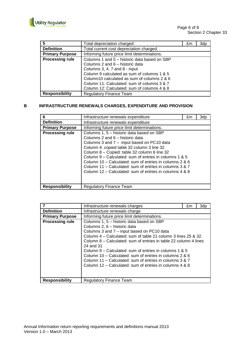

| 5                      | Total depreciation charged                   | £m | 3dp |
|------------------------|----------------------------------------------|----|-----|
| <b>Definition</b>      | Total current cost depreciation charged.     |    |     |
| <b>Primary Purpose</b> | Informing future price limit determinations. |    |     |
| <b>Processing rule</b> | Columns 1 and 5 - historic data based on SBP |    |     |
|                        | Columns 2 and 6 – historic data              |    |     |
|                        | Columns 3, 4, 7 and 8 - input                |    |     |
|                        | Column 9 calculated as sum of columns 1 & 5  |    |     |
|                        | Column10 calculated as sum of columns 2 & 6  |    |     |
|                        | Column 11: Calculated: sum of columns 3 & 7  |    |     |
|                        | Column 12: Calculated: sum of columns 4 & 8  |    |     |
| <b>Responsibility</b>  | <b>Regulatory Finance Team</b>               |    |     |

#### **B INFRASTRUCTURE RENEWALS CHARGES, EXPENDITURE AND PROVISION**

| 6                      | Infrastructure renewals expenditure                                                                                                                                                                                                                                                                                                                                                                                                                                 | £m | 3dp |
|------------------------|---------------------------------------------------------------------------------------------------------------------------------------------------------------------------------------------------------------------------------------------------------------------------------------------------------------------------------------------------------------------------------------------------------------------------------------------------------------------|----|-----|
| <b>Definition</b>      | Infrastructure renewals expenditure                                                                                                                                                                                                                                                                                                                                                                                                                                 |    |     |
| <b>Primary Purpose</b> | Informing future price limit determinations.                                                                                                                                                                                                                                                                                                                                                                                                                        |    |     |
| <b>Processing rule</b> | Columns 1, 5 - historic data based on SBP<br>Columns 2 and 6 – historic data<br>Columns 3 and 7 - input based on PC10 data<br>Column 4: copied table 32 column 3 line 32<br>Column 8 - Copied: table 32 column 6 line 32<br>Column 9 – Calculated: sum of entries in columns 1 & 5<br>Column 10 – Calculated: sum of entries in columns 2 & 6<br>Column 11 – Calculated: sum of entries in columns 3 & 7<br>Column 12 – Calculated: sum of entries in columns 4 & 8 |    |     |
| <b>Responsibility</b>  | Regulatory Finance Team                                                                                                                                                                                                                                                                                                                                                                                                                                             |    |     |

|                        | Infrastructure renewals charges                                                                                                                                                                                                                                                                                                                                                                                                                                                                                       | £m | 3dp |
|------------------------|-----------------------------------------------------------------------------------------------------------------------------------------------------------------------------------------------------------------------------------------------------------------------------------------------------------------------------------------------------------------------------------------------------------------------------------------------------------------------------------------------------------------------|----|-----|
| <b>Definition</b>      | Infrastructure renewals charge                                                                                                                                                                                                                                                                                                                                                                                                                                                                                        |    |     |
| <b>Primary Purpose</b> | Informing future price limit determinations.                                                                                                                                                                                                                                                                                                                                                                                                                                                                          |    |     |
| <b>Processing rule</b> | Columns 1, 5 – historic data based on SBP<br>Columns 2, 6 - historic data<br>Columns 3 and 7 - input based on PC10 data<br>Column 4 – Calculated: sum of table 21 column 3 lines 25 & 32.<br>Column 8 – Calculated: sum of entries in table 22 column 4 lines<br>24 and 31<br>Column 9 – Calculated: sum of entries in columns 1 & 5<br>Column 10 – Calculated: sum of entries in columns 2 & 6<br>Column 11 – Calculated: sum of entries in columns 3 & 7<br>Column 12 – Calculated: sum of entries in columns 4 & 8 |    |     |
| <b>Responsibility</b>  | Regulatory Finance Team                                                                                                                                                                                                                                                                                                                                                                                                                                                                                               |    |     |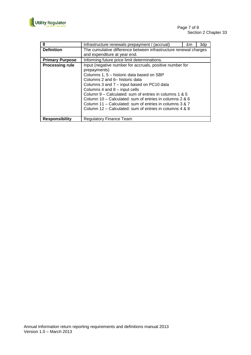

| 8                      | Infrastructure renewals prepayment / (accrual)                   | £m | 3dp |
|------------------------|------------------------------------------------------------------|----|-----|
| <b>Definition</b>      | The cumulative difference between infrastructure renewal charges |    |     |
|                        | and expenditure at year end.                                     |    |     |
| <b>Primary Purpose</b> | Informing future price limit determinations.                     |    |     |
| <b>Processing rule</b> | Input (negative number for accruals, positive number for         |    |     |
|                        | prepayments)                                                     |    |     |
|                        | Columns 1, 5 – historic data based on SBP                        |    |     |
|                        | Columns 2 and 6– historic data                                   |    |     |
|                        | Columns 3 and 7 - input based on PC10 data                       |    |     |
|                        | Columns 4 and 8 - input cells                                    |    |     |
|                        | Column 9 – Calculated: sum of entries in columns 1 & 5           |    |     |
|                        | Column 10 – Calculated: sum of entries in columns 2 & 6          |    |     |
|                        | Column 11 – Calculated: sum of entries in columns 3 & 7          |    |     |
|                        | Column 12 – Calculated: sum of entries in columns 4 & 8          |    |     |
|                        |                                                                  |    |     |
| <b>Responsibility</b>  | <b>Regulatory Finance Team</b>                                   |    |     |